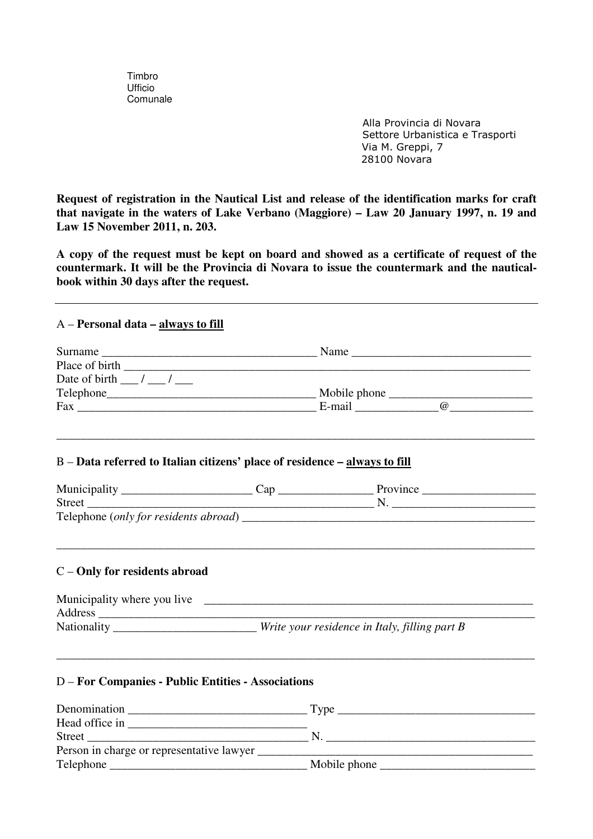Timbro Ufficio Comunale

> Alla Provincia di Novara Settore Urbanistica e Trasporti Via M. Greppi, 7 28100 Novara

**Request of registration in the Nautical List and release of the identification marks for craft that navigate in the waters of Lake Verbano (Maggiore) – Law 20 January 1997, n. 19 and Law 15 November 2011, n. 203.** 

**A copy of the request must be kept on board and showed as a certificate of request of the countermark. It will be the Provincia di Novara to issue the countermark and the nauticalbook within 30 days after the request.** 

## A – **Personal data – always to fill**

| Date of birth $\frac{\ }{\ }$ / __ / __                                    |                                                                                  |                                                                                                                         |  |
|----------------------------------------------------------------------------|----------------------------------------------------------------------------------|-------------------------------------------------------------------------------------------------------------------------|--|
|                                                                            |                                                                                  |                                                                                                                         |  |
|                                                                            |                                                                                  |                                                                                                                         |  |
| B - Data referred to Italian citizens' place of residence - always to fill |                                                                                  | <u> 1989 - Johann Harry Harry Harry Harry Harry Harry Harry Harry Harry Harry Harry Harry Harry Harry Harry Harry H</u> |  |
|                                                                            |                                                                                  |                                                                                                                         |  |
|                                                                            |                                                                                  |                                                                                                                         |  |
|                                                                            |                                                                                  |                                                                                                                         |  |
| C - Only for residents abroad                                              |                                                                                  |                                                                                                                         |  |
|                                                                            | Nationality _______________________Write your residence in Italy, filling part B |                                                                                                                         |  |
| <b>D</b> – For Companies - Public Entities - Associations                  |                                                                                  |                                                                                                                         |  |
|                                                                            |                                                                                  |                                                                                                                         |  |
|                                                                            |                                                                                  |                                                                                                                         |  |
|                                                                            |                                                                                  |                                                                                                                         |  |
|                                                                            |                                                                                  |                                                                                                                         |  |
|                                                                            |                                                                                  |                                                                                                                         |  |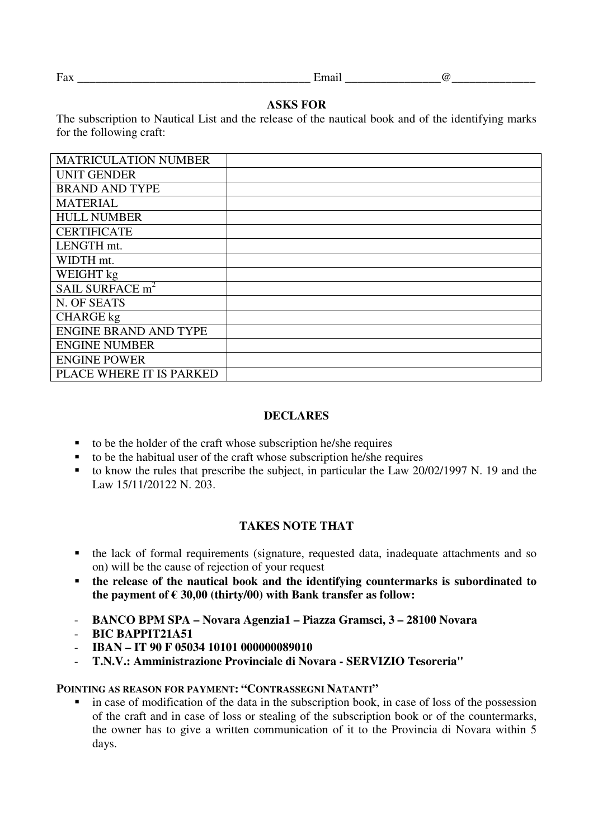#### Fax Email  $\qquad \qquad$  Email  $\qquad \qquad$   $\qquad \qquad$

## **ASKS FOR**

The subscription to Nautical List and the release of the nautical book and of the identifying marks for the following craft:

| <b>MATRICULATION NUMBER</b>  |  |
|------------------------------|--|
| <b>UNIT GENDER</b>           |  |
| <b>BRAND AND TYPE</b>        |  |
| <b>MATERIAL</b>              |  |
| <b>HULL NUMBER</b>           |  |
| <b>CERTIFICATE</b>           |  |
| LENGTH mt.                   |  |
| WIDTH mt.                    |  |
| WEIGHT kg                    |  |
| SAIL SURFACE m <sup>2</sup>  |  |
| N. OF SEATS                  |  |
| <b>CHARGE</b> kg             |  |
| <b>ENGINE BRAND AND TYPE</b> |  |
| <b>ENGINE NUMBER</b>         |  |
| <b>ENGINE POWER</b>          |  |
| PLACE WHERE IT IS PARKED     |  |

### **DECLARES**

- $\bullet$  to be the holder of the craft whose subscription he/she requires
- $\bullet$  to be the habitual user of the craft whose subscription he/she requires
- to know the rules that prescribe the subject, in particular the Law 20/02/1997 N. 19 and the Law 15/11/20122 N. 203.

# **TAKES NOTE THAT**

- the lack of formal requirements (signature, requested data, inadequate attachments and so on) will be the cause of rejection of your request
- **the release of the nautical book and the identifying countermarks is subordinated to**  the payment of  $\epsilon$  30,00 (thirty/00) with Bank transfer as follow:
- **BANCO BPM SPA Novara Agenzia1 Piazza Gramsci, 3 28100 Novara**
- **BIC BAPPIT21A51**
- **IBAN IT 90 F 05034 10101 000000089010**
- **T.N.V.: Amministrazione Provinciale di Novara SERVIZIO Tesoreria"**

### **POINTING AS REASON FOR PAYMENT: "CONTRASSEGNI NATANTI"**

 in case of modification of the data in the subscription book, in case of loss of the possession of the craft and in case of loss or stealing of the subscription book or of the countermarks, the owner has to give a written communication of it to the Provincia di Novara within 5 days.